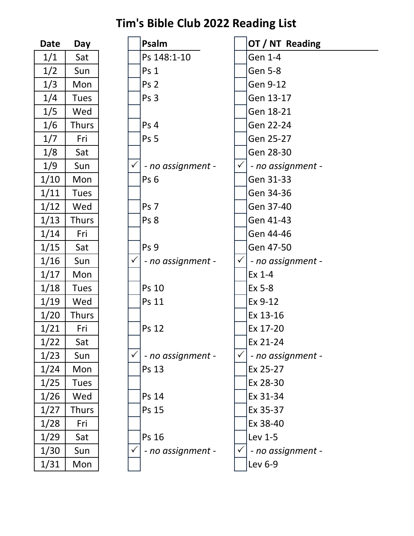| Date | Day          |  |  |
|------|--------------|--|--|
| 1/1  | Sat          |  |  |
| 1/2  | Sun          |  |  |
| 1/3  | Mon          |  |  |
| 1/4  | <b>Tues</b>  |  |  |
| 1/5  | Wed          |  |  |
| 1/6  | Thurs        |  |  |
| 1/7  | Fri          |  |  |
| 1/8  | Sat          |  |  |
| 1/9  | Sun          |  |  |
| 1/10 | Mon          |  |  |
| 1/11 | <b>Tues</b>  |  |  |
| 1/12 | Wed          |  |  |
| 1/13 | Thurs        |  |  |
| 1/14 | Fri          |  |  |
| 1/15 | Sat          |  |  |
| 1/16 | Sun          |  |  |
| 1/17 | Mon          |  |  |
| 1/18 | <b>Tues</b>  |  |  |
| 1/19 | Wed          |  |  |
| 1/20 | <b>Thurs</b> |  |  |
| 1/21 | Fri          |  |  |
| 1/22 | Sat          |  |  |
| 1/23 | Sun          |  |  |
| 1/24 | Mon          |  |  |
| 1/25 | Tues         |  |  |
| 1/26 | Wed          |  |  |
| 1/27 | Thurs        |  |  |
| 1/28 | Fri          |  |  |
| 1/29 | Sat          |  |  |
| 1/30 | Sun          |  |  |
| 1/31 | Mon          |  |  |

| <b>Date</b> | Day          |              | Psalm             |              | OT / NT Reading   |
|-------------|--------------|--------------|-------------------|--------------|-------------------|
| 1/1         | Sat          |              | Ps 148:1-10       |              | Gen 1-4           |
| 1/2         | Sun          |              | Ps <sub>1</sub>   |              | <b>Gen 5-8</b>    |
| 1/3         | Mon          |              | Ps <sub>2</sub>   |              | Gen 9-12          |
| 1/4         | <b>Tues</b>  |              | Ps 3              |              | Gen 13-17         |
| 1/5         | Wed          |              |                   |              | Gen 18-21         |
| 1/6         | <b>Thurs</b> |              | Ps 4              |              | Gen 22-24         |
| 1/7         | Fri          |              | Ps <sub>5</sub>   |              | Gen 25-27         |
| 1/8         | Sat          |              |                   |              | Gen 28-30         |
| 1/9         | Sun          | $\checkmark$ | - no assignment - | $\checkmark$ | - no assignment - |
| 1/10        | Mon          |              | Ps <sub>6</sub>   |              | Gen 31-33         |
| 1/11        | <b>Tues</b>  |              |                   |              | Gen 34-36         |
| 1/12        | Wed          |              | Ps 7              |              | Gen 37-40         |
| 1/13        | <b>Thurs</b> |              | Ps 8              |              | Gen 41-43         |
| 1/14        | Fri          |              |                   |              | Gen 44-46         |
| 1/15        | Sat          |              | Ps 9              |              | Gen 47-50         |
| 1/16        | Sun          | $\checkmark$ | - no assignment - | $\checkmark$ | - no assignment - |
| 1/17        | Mon          |              |                   |              | Ex 1-4            |
| 1/18        | <b>Tues</b>  |              | Ps 10             |              | Ex 5-8            |
| 1/19        | Wed          |              | Ps 11             |              | Ex 9-12           |
| 1/20        | <b>Thurs</b> |              |                   |              | Ex 13-16          |
| 1/21        | Fri          |              | Ps 12             |              | Ex 17-20          |
| 1/22        | Sat          |              |                   |              | Ex 21-24          |
| 1/23        | Sun          |              | - no assignment - | $\checkmark$ | - no assignment - |
| 1/24        | Mon          |              | Ps 13             |              | Ex 25-27          |
| 1/25        | <b>Tues</b>  |              |                   |              | Ex 28-30          |
| 1/26        | Wed          |              | Ps 14             |              | Ex 31-34          |
| 1/27        | <b>Thurs</b> |              | Ps 15             |              | Ex 35-37          |
| 1/28        | Fri          |              |                   |              | Ex 38-40          |
| 1/29        | Sat          |              | Ps 16             |              | Lev 1-5           |
| 1/30        | Sun          | $\checkmark$ | - no assignment - | $\checkmark$ | - no assignment - |
| 1/31        | Mon          |              |                   |              | Lev 6-9           |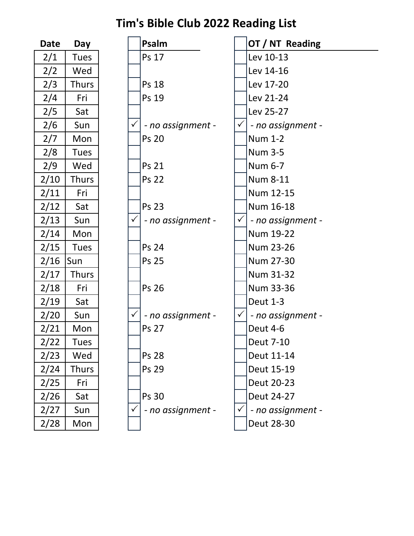| Date | Day          |  |  |
|------|--------------|--|--|
| 2/1  | <b>Tues</b>  |  |  |
| 2/2  | Wed          |  |  |
| 2/3  | <b>Thurs</b> |  |  |
| 2/4  | Fri          |  |  |
| 2/5  | Sat          |  |  |
| 2/6  | Sun          |  |  |
| 2/7  | Mon          |  |  |
| 2/8  | <b>Tues</b>  |  |  |
| 2/9  | Wed          |  |  |
| 2/10 | Thurs        |  |  |
| 2/11 | Fri          |  |  |
| 2/12 | Sat          |  |  |
| 2/13 | Sun          |  |  |
| 2/14 | Mon          |  |  |
| 2/15 | Tues         |  |  |
| 2/16 | Sun          |  |  |
| 2/17 | <b>Thurs</b> |  |  |
| 2/18 | Fri          |  |  |
| 2/19 | Sat          |  |  |
| 2/20 | Sun          |  |  |
| 2/21 | Mon          |  |  |
| 2/22 | Tues         |  |  |
| 2/23 | Wed          |  |  |
| 2/24 | Thurs        |  |  |
| 2/25 | Fri          |  |  |
| 2/26 | Sat          |  |  |
| 2/27 | Sun          |  |  |
| 2/28 | Mon          |  |  |

| <b>Date</b> | Day          |              | Psalm             |              | OT / NT Reading   |  |
|-------------|--------------|--------------|-------------------|--------------|-------------------|--|
| 2/1         | <b>Tues</b>  |              | Ps 17             |              | Lev 10-13         |  |
| 2/2         | Wed          |              |                   |              | Lev 14-16         |  |
| 2/3         | <b>Thurs</b> |              | <b>Ps 18</b>      |              | Lev 17-20         |  |
| 2/4         | Fri          |              | Ps 19             |              | Lev 21-24         |  |
| 2/5         | Sat          |              |                   |              | Lev 25-27         |  |
| 2/6         | Sun          | $\checkmark$ | - no assignment - | $\checkmark$ | - no assignment - |  |
| 2/7         | Mon          |              | <b>Ps 20</b>      |              | <b>Num 1-2</b>    |  |
| 2/8         | <b>Tues</b>  |              |                   |              | <b>Num 3-5</b>    |  |
| 2/9         | Wed          |              | <b>Ps 21</b>      |              | Num 6-7           |  |
| 2/10        | <b>Thurs</b> |              | <b>Ps 22</b>      |              | <b>Num 8-11</b>   |  |
| 2/11        | Fri          |              |                   |              | Num 12-15         |  |
| 2/12        | Sat          |              | <b>Ps 23</b>      |              | Num 16-18         |  |
| 2/13        | Sun          | $\checkmark$ | - no assignment - |              | - no assignment - |  |
| 2/14        | Mon          |              |                   |              | Num 19-22         |  |
| 2/15        | <b>Tues</b>  |              | <b>Ps 24</b>      |              | Num 23-26         |  |
| 2/16        | Sun          |              | <b>Ps 25</b>      |              | Num 27-30         |  |
| 2/17        | <b>Thurs</b> |              |                   |              | Num 31-32         |  |
| 2/18        | Fri          |              | <b>Ps 26</b>      |              | Num 33-36         |  |
| 2/19        | Sat          |              |                   |              | <b>Deut 1-3</b>   |  |
| 2/20        | Sun          | $\checkmark$ | - no assignment - | $\checkmark$ | - no assignment - |  |
| 2/21        | Mon          |              | <b>Ps 27</b>      |              | <b>Deut 4-6</b>   |  |
| 2/22        | Tues         |              |                   |              | <b>Deut 7-10</b>  |  |
| 2/23        | Wed          |              | <b>Ps 28</b>      |              | Deut 11-14        |  |
| 2/24        | <b>Thurs</b> |              | Ps 29             |              | Deut 15-19        |  |
| 2/25        | Fri          |              |                   |              | Deut 20-23        |  |
| 2/26        | Sat          |              | <b>Ps 30</b>      |              | Deut 24-27        |  |
| 2/27        | Sun          | $\checkmark$ | - no assignment - | $\checkmark$ | - no assignment - |  |
| 2/28        | Mon          |              |                   |              | Deut 28-30        |  |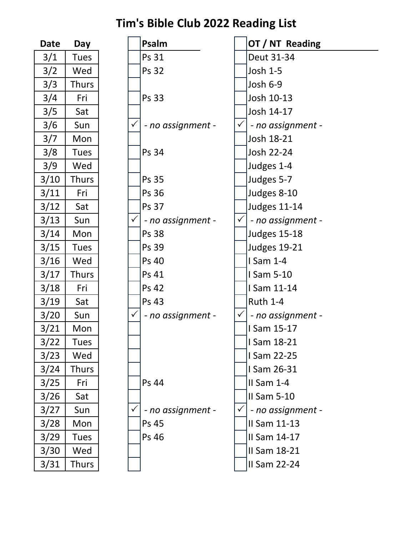| Date | Day         |  |  |
|------|-------------|--|--|
| 3/1  | Tues        |  |  |
| 3/2  | Wed         |  |  |
| 3/3  | Thurs       |  |  |
| 3/4  | Fri         |  |  |
| 3/5  | Sat         |  |  |
| 3/6  | Sun         |  |  |
| 3/7  | Mon         |  |  |
| 3/8  | <b>Tues</b> |  |  |
| 3/9  | Wed         |  |  |
| 3/10 | Thurs       |  |  |
| 3/11 | Fri         |  |  |
| 3/12 | Sat         |  |  |
| 3/13 | Sun         |  |  |
| 3/14 | Mon         |  |  |
| 3/15 | <b>Tues</b> |  |  |
| 3/16 | Wed         |  |  |
| 3/17 | Thurs       |  |  |
| 3/18 | Fri         |  |  |
| 3/19 | Sat         |  |  |
| 3/20 | Sun         |  |  |
| 3/21 | Mon         |  |  |
| 3/22 | Tues        |  |  |
| 3/23 | Wed         |  |  |
| 3/24 | Thurs       |  |  |
| 3/25 | Fri         |  |  |
| 3/26 | Sat         |  |  |
| 3/27 | Sun         |  |  |
| 3/28 | Mon         |  |  |
| 3/29 | <b>Tues</b> |  |  |
| 3/30 | Wed         |  |  |
| 3/31 | Thurs       |  |  |

| <b>Date</b> | Day          |              | Psalm             |              | OT / NT Reading     |
|-------------|--------------|--------------|-------------------|--------------|---------------------|
| 3/1         | <b>Tues</b>  |              | Ps 31             |              | Deut 31-34          |
| 3/2         | Wed          |              | <b>Ps 32</b>      |              | Josh 1-5            |
| 3/3         | <b>Thurs</b> |              |                   |              | <b>Josh 6-9</b>     |
| 3/4         | Fri          |              | Ps 33             |              | Josh 10-13          |
| 3/5         | Sat          |              |                   |              | Josh 14-17          |
| 3/6         | Sun          | $\checkmark$ | - no assignment - | $\checkmark$ | - no assignment -   |
| 3/7         | Mon          |              |                   |              | Josh 18-21          |
| 3/8         | <b>Tues</b>  |              | Ps 34             |              | Josh 22-24          |
| 3/9         | Wed          |              |                   |              | Judges 1-4          |
| 3/10        | <b>Thurs</b> |              | <b>Ps 35</b>      |              | Judges 5-7          |
| 3/11        | Fri          |              | <b>Ps 36</b>      |              | Judges 8-10         |
| 3/12        | Sat          |              | <b>Ps 37</b>      |              | <b>Judges 11-14</b> |
| 3/13        | Sun          | $\checkmark$ | - no assignment - | $\checkmark$ | - no assignment -   |
| 3/14        | Mon          |              | <b>Ps 38</b>      |              | <b>Judges 15-18</b> |
| 3/15        | <b>Tues</b>  |              | Ps 39             |              | <b>Judges 19-21</b> |
| 3/16        | Wed          |              | Ps 40             |              | I Sam 1-4           |
| 3/17        | <b>Thurs</b> |              | Ps 41             |              | I Sam 5-10          |
| 3/18        | Fri          |              | <b>Ps 42</b>      |              | I Sam 11-14         |
| 3/19        | Sat          |              | Ps 43             |              | <b>Ruth 1-4</b>     |
| 3/20        | Sun          | $\checkmark$ | - no assignment - | $\checkmark$ | - no assignment -   |
| 3/21        | Mon          |              |                   |              | I Sam 15-17         |
| $3/22$      | <b>Tues</b>  |              |                   |              | I Sam 18-21         |
| 3/23        | Wed          |              |                   |              | I Sam 22-25         |
| 3/24        | <b>Thurs</b> |              |                   |              | I Sam 26-31         |
| 3/25        | Fri          |              | Ps 44             |              | $II$ Sam 1-4        |
| $3/26$      | Sat          |              |                   |              | II Sam 5-10         |
| 3/27        | Sun          | $\checkmark$ | - no assignment - | $\checkmark$ | - no assignment -   |
| 3/28        | Mon          |              | Ps 45             |              | II Sam 11-13        |
| 3/29        | <b>Tues</b>  |              | Ps 46             |              | II Sam 14-17        |
| 3/30        | Wed          |              |                   |              | II Sam 18-21        |
| 3/31        | <b>Thurs</b> |              |                   |              | II Sam 22-24        |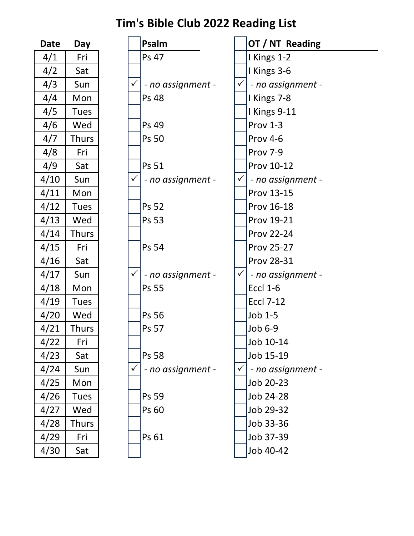| Date | Day          |  |  |  |
|------|--------------|--|--|--|
| 4/1  | Fri          |  |  |  |
| 4/2  | Sat          |  |  |  |
| 4/3  | Sun          |  |  |  |
| 4/4  | Mon          |  |  |  |
| 4/5  | <b>Tues</b>  |  |  |  |
| 4/6  | Wed          |  |  |  |
| 4/7  | Thurs        |  |  |  |
| 4/8  | Fri          |  |  |  |
| 4/9  | Sat          |  |  |  |
| 4/10 | Sun          |  |  |  |
| 4/11 | Mon          |  |  |  |
| 4/12 | <b>Tues</b>  |  |  |  |
| 4/13 | Wed          |  |  |  |
| 4/14 | <b>Thurs</b> |  |  |  |
| 4/15 | Fri          |  |  |  |
| 4/16 | Sat          |  |  |  |
| 4/17 | Sun          |  |  |  |
| 4/18 | Mon          |  |  |  |
| 4/19 | <b>Tues</b>  |  |  |  |
| 4/20 | Wed          |  |  |  |
| 4/21 | Thurs        |  |  |  |
| 4/22 | Fri          |  |  |  |
| 4/23 | Sat          |  |  |  |
| 4/24 | Sun          |  |  |  |
| 4/25 | Mon          |  |  |  |
| 4/26 | <b>Tues</b>  |  |  |  |
| 4/27 | Wed          |  |  |  |
| 4/28 | Thurs        |  |  |  |
| 4/29 | Fri          |  |  |  |
| 4/30 | Sat          |  |  |  |

| <b>Date</b> | Day          |              | Psalm             |              | OT / NT Reading   |
|-------------|--------------|--------------|-------------------|--------------|-------------------|
| 4/1         | Fri          |              | Ps 47             |              | I Kings 1-2       |
| 4/2         | Sat          |              |                   |              | I Kings 3-6       |
| 4/3         | Sun          | $\checkmark$ | - no assignment - | $\checkmark$ | - no assignment - |
| 4/4         | Mon          |              | <b>Ps 48</b>      |              | I Kings 7-8       |
| 4/5         | <b>Tues</b>  |              |                   |              | I Kings 9-11      |
| 4/6         | Wed          |              | Ps 49             |              | Prov 1-3          |
| 4/7         | <b>Thurs</b> |              | <b>Ps 50</b>      |              | Prov 4-6          |
| 4/8         | Fri          |              |                   |              | Prov 7-9          |
| 4/9         | Sat          |              | Ps 51             |              | Prov 10-12        |
| 4/10        | Sun          | $\checkmark$ | - no assignment - | $\checkmark$ | - no assignment - |
| 4/11        | Mon          |              |                   |              | Prov 13-15        |
| 4/12        | <b>Tues</b>  |              | Ps 52             |              | Prov 16-18        |
| 4/13        | Wed          |              | <b>Ps 53</b>      |              | Prov 19-21        |
| 4/14        | <b>Thurs</b> |              |                   |              | <b>Prov 22-24</b> |
| 4/15        | Fri          |              | Ps 54             |              | <b>Prov 25-27</b> |
| 4/16        | Sat          |              |                   |              | Prov 28-31        |
| 4/17        | Sun          | $\checkmark$ | - no assignment - | $\checkmark$ | - no assignment - |
| 4/18        | Mon          |              | <b>Ps 55</b>      |              | <b>Eccl 1-6</b>   |
| 4/19        | <b>Tues</b>  |              |                   |              | <b>Eccl 7-12</b>  |
| 4/20        | Wed          |              | Ps 56             |              | Job 1-5           |
| 4/21        | <b>Thurs</b> |              | <b>Ps 57</b>      |              | Job 6-9           |
| 4/22        | Fri          |              |                   |              | Job 10-14         |
| 4/23        | Sat          |              | <b>Ps 58</b>      |              | Job 15-19         |
| 4/24        | Sun          | $\checkmark$ | - no assignment - | $\checkmark$ | - no assignment - |
| 4/25        | Mon          |              |                   |              | Job 20-23         |
| 4/26        | <b>Tues</b>  |              | <b>Ps 59</b>      |              | Job 24-28         |
| 4/27        | Wed          |              | Ps 60             |              | Job 29-32         |
| 4/28        | <b>Thurs</b> |              |                   |              | Job 33-36         |
| 4/29        | Fri          |              | Ps 61             |              | Job 37-39         |
| 4/30        | Sat          |              |                   |              | Job 40-42         |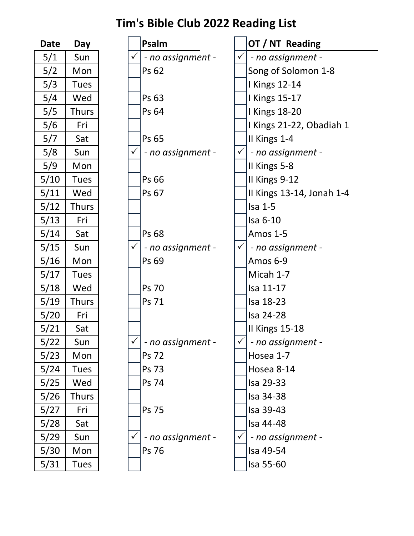| Date | Day          |  |  |
|------|--------------|--|--|
| 5/1  | Sun          |  |  |
| 5/2  | Mon          |  |  |
| 5/3  | <b>Tues</b>  |  |  |
| 5/4  | Wed          |  |  |
| 5/5  | Thurs        |  |  |
| 5/6  | Fri          |  |  |
| 5/7  | Sat          |  |  |
| 5/8  | Sun          |  |  |
| 5/9  | Mon          |  |  |
| 5/10 | <b>Tues</b>  |  |  |
| 5/11 | Wed          |  |  |
| 5/12 | Thurs        |  |  |
| 5/13 | Fri          |  |  |
| 5/14 | Sat          |  |  |
| 5/15 | Sun          |  |  |
| 5/16 | Mon          |  |  |
| 5/17 | <b>Tues</b>  |  |  |
| 5/18 | Wed          |  |  |
| 5/19 | Thurs        |  |  |
| 5/20 | Fri          |  |  |
| 5/21 | Sat          |  |  |
| 5/22 | Sun          |  |  |
| 5/23 | Mon          |  |  |
| 5/24 | <b>Tues</b>  |  |  |
| 5/25 | Wed          |  |  |
| 5/26 | <b>Thurs</b> |  |  |
| 5/27 | Fri          |  |  |
| 5/28 | Sat          |  |  |
| 5/29 | Sun          |  |  |
| 5/30 | Mon          |  |  |
| 5/31 | Tues         |  |  |

| <b>Date</b> | Day          |              | Psalm             |              | OT / NT Reading           |
|-------------|--------------|--------------|-------------------|--------------|---------------------------|
| 5/1         | Sun          |              | - no assignment - | $\checkmark$ | - no assignment -         |
| 5/2         | Mon          |              | Ps 62             |              | Song of Solomon 1-8       |
| 5/3         | <b>Tues</b>  |              |                   |              | <b>I Kings 12-14</b>      |
| 5/4         | Wed          |              | Ps 63             |              | <b>I Kings 15-17</b>      |
| 5/5         | <b>Thurs</b> |              | Ps 64             |              | <b>Kings 18-20</b>        |
| 5/6         | Fri          |              |                   |              | I Kings 21-22, Obadiah 1  |
| 5/7         | Sat          |              | Ps 65             |              | II Kings 1-4              |
| 5/8         | Sun          | $\checkmark$ | - no assignment - |              | - no assignment -         |
| 5/9         | Mon          |              |                   |              | II Kings 5-8              |
| 5/10        | <b>Tues</b>  |              | Ps 66             |              | II Kings 9-12             |
| 5/11        | Wed          |              | Ps 67             |              | II Kings 13-14, Jonah 1-4 |
| 5/12        | <b>Thurs</b> |              |                   |              | $Isa1-5$                  |
| 5/13        | Fri          |              |                   |              | Isa 6-10                  |
| 5/14        | Sat          |              | Ps 68             |              | Amos 1-5                  |
| 5/15        | Sun          | $\checkmark$ | - no assignment - |              | - no assignment -         |
| 5/16        | Mon          |              | Ps 69             |              | Amos 6-9                  |
| 5/17        | <b>Tues</b>  |              |                   |              | Micah 1-7                 |
| 5/18        | Wed          |              | <b>Ps 70</b>      |              | Isa 11-17                 |
| 5/19        | <b>Thurs</b> |              | Ps 71             |              | Isa 18-23                 |
| 5/20        | Fri          |              |                   |              | Isa 24-28                 |
| 5/21        | Sat          |              |                   |              | II Kings 15-18            |
| $5/22$      | Sun          |              | - no assignment - |              | - no assignment -         |
| 5/23        | Mon          |              | <b>Ps 72</b>      |              | Hosea 1-7                 |
| 5/24        | <b>Tues</b>  |              | Ps 73             |              | Hosea 8-14                |
| 5/25        | Wed          |              | Ps 74             |              | Isa 29-33                 |
| 5/26        | <b>Thurs</b> |              |                   |              | Isa 34-38                 |
| 5/27        | Fri          |              | Ps 75             |              | Isa 39-43                 |
| 5/28        | Sat          |              |                   |              | Isa 44-48                 |
| 5/29        | Sun          |              | - no assignment - |              | - no assignment -         |
| 5/30        | Mon          |              | Ps 76             |              | Isa 49-54                 |
| 5/31        | <b>Tues</b>  |              |                   |              | Isa 55-60                 |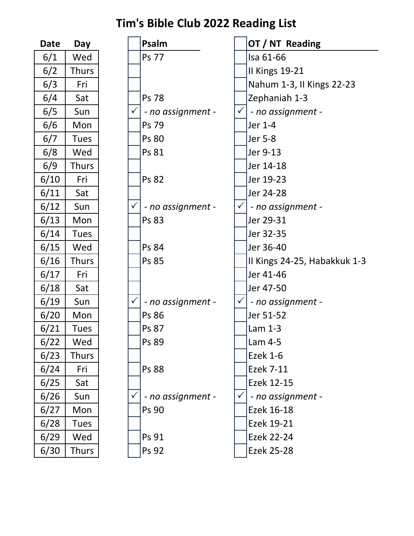| Date | Day         |  |  |
|------|-------------|--|--|
| 6/1  | Wed         |  |  |
| 6/2  | Thurs       |  |  |
| 6/3  | Fri         |  |  |
| 6/4  | Sat         |  |  |
| 6/5  | Sun         |  |  |
| 6/6  | Mon         |  |  |
| 6/7  | <b>Tues</b> |  |  |
| 6/8  | Wed         |  |  |
| 6/9  | Thurs       |  |  |
| 6/10 | Fri         |  |  |
| 6/11 | Sat         |  |  |
| 6/12 | Sun         |  |  |
| 6/13 | Mon         |  |  |
| 6/14 | <b>Tues</b> |  |  |
| 6/15 | Wed         |  |  |
| 6/16 | Thurs       |  |  |
| 6/17 | Fri         |  |  |
| 6/18 | Sat         |  |  |
| 6/19 | Sun         |  |  |
| 6/20 | Mon         |  |  |
| 6/21 | <b>Tues</b> |  |  |
| 6/22 | Wed         |  |  |
| 6/23 | Thurs       |  |  |
| 6/24 | Fri         |  |  |
| 6/25 | Sat         |  |  |
| 6/26 | Sun         |  |  |
| 6/27 | Mon         |  |  |
| 6/28 | <b>Tues</b> |  |  |
| 6/29 | Wed         |  |  |
| 6/30 | Thurs       |  |  |

| <b>Date</b> | Day          |              | Psalm             |              | OT / NT Reading              |
|-------------|--------------|--------------|-------------------|--------------|------------------------------|
| 6/1         | Wed          |              | <b>Ps 77</b>      |              | Isa 61-66                    |
| 6/2         | <b>Thurs</b> |              |                   |              | <b>II Kings 19-21</b>        |
| 6/3         | Fri          |              |                   |              | Nahum 1-3, II Kings 22-23    |
| 6/4         | Sat          |              | <b>Ps 78</b>      |              | Zephaniah 1-3                |
| 6/5         | Sun          | $\checkmark$ | - no assignment - | $\checkmark$ | - no assignment -            |
| 6/6         | Mon          |              | Ps 79             |              | Jer 1-4                      |
| 6/7         | <b>Tues</b>  |              | <b>Ps 80</b>      |              | Jer 5-8                      |
| 6/8         | Wed          |              | Ps 81             |              | Jer 9-13                     |
| 6/9         | <b>Thurs</b> |              |                   |              | Jer 14-18                    |
| 6/10        | Fri          |              | <b>Ps 82</b>      |              | Jer 19-23                    |
| 6/11        | Sat          |              |                   |              | Jer 24-28                    |
| 6/12        | Sun          | $\checkmark$ | - no assignment - | $\checkmark$ | - no assignment -            |
| 6/13        | Mon          |              | Ps 83             |              | Jer 29-31                    |
| 6/14        | <b>Tues</b>  |              |                   |              | Jer 32-35                    |
| 6/15        | Wed          |              | Ps 84             |              | Jer 36-40                    |
| 6/16        | <b>Thurs</b> |              | <b>Ps 85</b>      |              | II Kings 24-25, Habakkuk 1-3 |
| 6/17        | Fri          |              |                   |              | Jer 41-46                    |
| 6/18        | Sat          |              |                   |              | Jer 47-50                    |
| 6/19        | Sun          | $\checkmark$ | - no assignment - | $\checkmark$ | - no assignment -            |
| 6/20        | Mon          |              | Ps 86             |              | Jer 51-52                    |
| 6/21        | <b>Tues</b>  |              | Ps 87             |              | Lam 1-3                      |
| 6/22        | Wed          |              | Ps 89             |              | Lam 4-5                      |
| 6/23        | <b>Thurs</b> |              |                   |              | <b>Ezek 1-6</b>              |
| 6/24        | Fri          |              | Ps 88             |              | Ezek 7-11                    |
| 6/25        | Sat          |              |                   |              | Ezek 12-15                   |
| 6/26        | Sun          | $\checkmark$ | - no assignment - | $\checkmark$ | - no assignment -            |
| 6/27        | Mon          |              | <b>Ps 90</b>      |              | Ezek 16-18                   |
| 6/28        | <b>Tues</b>  |              |                   |              | Ezek 19-21                   |
| 6/29        | Wed          |              | Ps 91             |              | <b>Ezek 22-24</b>            |
| 6/30        | <b>Thurs</b> |              | Ps 92             |              | Ezek 25-28                   |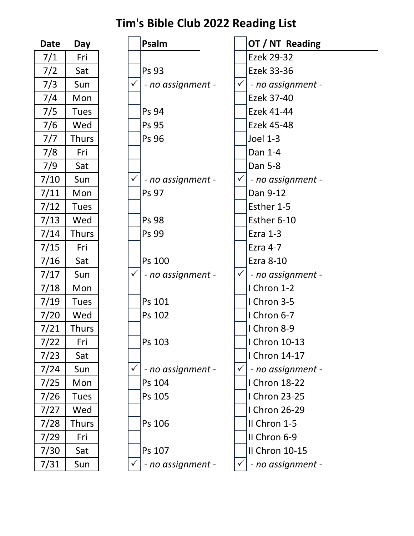| Date           | Day          |
|----------------|--------------|
| 7/1            | Fri          |
| 7/2            | Sat          |
| 7/3            | Sun          |
| 7/4            | Mon          |
| 7/5            | <b>Tues</b>  |
| 7/6            | Wed          |
| 7/7            | Thurs        |
| 7/8            | Fri          |
| 7/9            | Sat          |
| 7/10           | Sun          |
| 7/11           | Mon          |
| 7/12           | Tues         |
| 7/13           | Wed          |
| 7/14           | Thurs        |
| 7/15           | Fri          |
| 7/16           | Sat          |
| 7/17           | Sun          |
| 7/18           | Mon          |
| $\frac{7}{19}$ | <b>Tues</b>  |
| 7/20           | Wed          |
| 7/21           | Thurs        |
| 7/22           | Fri          |
| 7/23           | Sat          |
| 7/24           | Sun          |
| 7/25           | Mon          |
| 7/26           | <b>Tues</b>  |
| 7/27           | Wed          |
| 7/28           | <b>Thurs</b> |
| 7/29           | Fri          |
| 7/30           | Sat          |
| 7/31           | Sun          |

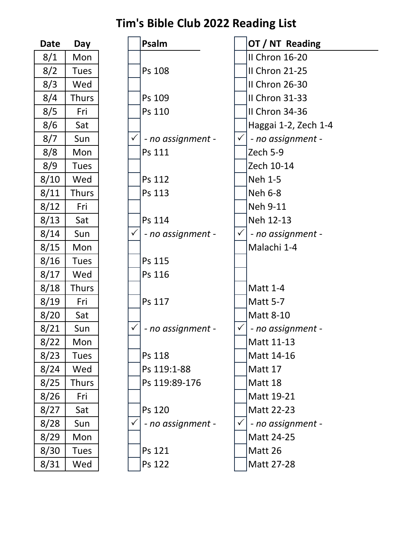| <b>Date</b> | Day          |  | Psalm     |
|-------------|--------------|--|-----------|
| 8/1         | Mon          |  |           |
| 8/2         | <b>Tues</b>  |  | Ps 108    |
| 8/3         | Wed          |  |           |
| 8/4         | <b>Thurs</b> |  | Ps 109    |
| 8/5         | Fri          |  | Ps 110    |
| 8/6         | Sat          |  |           |
| 8/7         | Sun          |  | $- no a.$ |
| 8/8         | Mon          |  | Ps 111    |
| 8/9         | <b>Tues</b>  |  |           |
| 8/10        | Wed          |  | Ps 112    |
| 8/11        | <b>Thurs</b> |  | Ps 113    |
| 8/12        | Fri          |  |           |
| 8/13        | Sat          |  | Ps 114    |
| 8/14        | Sun          |  | $- no a.$ |
| 8/15        | Mon          |  |           |
| 8/16        | <b>Tues</b>  |  | Ps 115    |
| 8/17        | Wed          |  | Ps 116    |
| 8/18        | <b>Thurs</b> |  |           |
| 8/19        | Fri          |  | Ps 117    |
| 8/20        | Sat          |  |           |
| 8/21        | Sun          |  | $- no a.$ |
| 8/22        | Mon          |  |           |
| 8/23        | <b>Tues</b>  |  | Ps 118    |
| 8/24        | Wed          |  | Ps 119    |
| 8/25        | Thurs        |  | Ps 119    |
| 8/26        | Fri          |  |           |
| 8/27        | Sat          |  | Ps 120    |
| 8/28        | Sun          |  | - no a:   |
| 8/29        | Mon          |  |           |
| 8/30        | Tues         |  | Ps 121    |
| 8/31        | Wed          |  | Ps 122    |

| <b>Date</b> | Day          |              | Psalm             |              | OT / NT Reading      |
|-------------|--------------|--------------|-------------------|--------------|----------------------|
| 8/1         | Mon          |              |                   |              | II Chron 16-20       |
| 8/2         | <b>Tues</b>  |              | Ps 108            |              | II Chron 21-25       |
| 8/3         | Wed          |              |                   |              | II Chron 26-30       |
| 8/4         | <b>Thurs</b> |              | Ps 109            |              | II Chron 31-33       |
| 8/5         | Fri          |              | Ps 110            |              | II Chron 34-36       |
| 8/6         | Sat          |              |                   |              | Haggai 1-2, Zech 1-4 |
| 8/7         | Sun          | $\checkmark$ | - no assignment - | $\checkmark$ | - no assignment -    |
| 8/8         | Mon          |              | Ps 111            |              | Zech 5-9             |
| 8/9         | <b>Tues</b>  |              |                   |              | Zech 10-14           |
| 8/10        | Wed          |              | Ps 112            |              | Neh 1-5              |
| 8/11        | <b>Thurs</b> |              | Ps 113            |              | <b>Neh 6-8</b>       |
| 8/12        | Fri          |              |                   |              | Neh 9-11             |
| 8/13        | Sat          |              | Ps 114            |              | Neh 12-13            |
| 8/14        | Sun          | $\checkmark$ | - no assignment - | $\checkmark$ | - no assignment -    |
| 8/15        | Mon          |              |                   |              | Malachi 1-4          |
| 8/16        | <b>Tues</b>  |              | Ps 115            |              |                      |
| 8/17        | Wed          |              | Ps 116            |              |                      |
| 8/18        | <b>Thurs</b> |              |                   |              | <b>Matt 1-4</b>      |
| 8/19        | Fri          |              | Ps 117            |              | <b>Matt 5-7</b>      |
| 8/20        | Sat          |              |                   |              | Matt 8-10            |
| 8/21        | Sun          |              | - no assignment - |              | - no assignment -    |
| 8/22        | Mon          |              |                   |              | Matt 11-13           |
| 8/23        | <b>Tues</b>  |              | Ps 118            |              | Matt 14-16           |
| 8/24        | Wed          |              | Ps 119:1-88       |              | Matt 17              |
| 8/25        | <b>Thurs</b> |              | Ps 119:89-176     |              | Matt 18              |
| 8/26        | Fri          |              |                   |              | Matt 19-21           |
| 8/27        | Sat          |              | Ps 120            |              | Matt 22-23           |
| 8/28        | Sun          |              | - no assignment - |              | - no assignment -    |
| 8/29        | Mon          |              |                   |              | Matt 24-25           |
| 8/30        | <b>Tues</b>  |              | Ps 121            |              | Matt 26              |
| 8/31        | Wed          |              | Ps 122            |              | Matt 27-28           |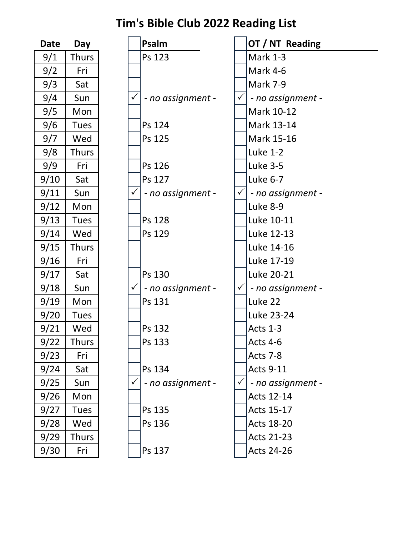| Date | Day          |
|------|--------------|
| 9/1  | Thurs        |
| 9/2  | Fri          |
| 9/3  | Sat          |
| 9/4  | Sun          |
| 9/5  | Mon          |
| 9/6  | <b>Tues</b>  |
| 9/7  | Wed          |
| 9/8  | <b>Thurs</b> |
| 9/9  | Fri          |
| 9/10 | Sat          |
| 9/11 | Sun          |
| 9/12 | Mon          |
| 9/13 | <b>Tues</b>  |
| 9/14 | Wed          |
| 9/15 | <b>Thurs</b> |
| 9/16 | Fri          |
| 9/17 | Sat          |
| 9/18 | Sun          |
| 9/19 | Mon          |
| 9/20 | <b>Tues</b>  |
| 9/21 | Wed          |
| 9/22 | Thurs        |
| 9/23 | Fri          |
| 9/24 | Sat          |
| 9/25 | Sun          |
| 9/26 | Mon          |
| 9/27 | <b>Tues</b>  |
| 9/28 | Wed          |
| 9/29 | Thurs        |
| 9/30 | Fri          |

| <b>Date</b> | Day          |              | Psalm             |              | OT / NT Reading   |
|-------------|--------------|--------------|-------------------|--------------|-------------------|
| 9/1         | Thurs        |              | Ps 123            |              | <b>Mark 1-3</b>   |
| 9/2         | Fri          |              |                   |              | Mark 4-6          |
| 9/3         | Sat          |              |                   |              | <b>Mark 7-9</b>   |
| 9/4         | Sun          | $\checkmark$ | - no assignment - | $\checkmark$ | - no assignment - |
| 9/5         | Mon          |              |                   |              | Mark 10-12        |
| 9/6         | <b>Tues</b>  |              | Ps 124            |              | Mark 13-14        |
| 9/7         | Wed          |              | Ps 125            |              | Mark 15-16        |
| 9/8         | <b>Thurs</b> |              |                   |              | <b>Luke 1-2</b>   |
| 9/9         | Fri          |              | Ps 126            |              | <b>Luke 3-5</b>   |
| 9/10        | Sat          |              | Ps 127            |              | Luke 6-7          |
| 9/11        | Sun          | $\checkmark$ | - no assignment - | $\checkmark$ | - no assignment - |
| 9/12        | Mon          |              |                   |              | Luke 8-9          |
| 9/13        | <b>Tues</b>  |              | Ps 128            |              | Luke 10-11        |
| 9/14        | Wed          |              | Ps 129            |              | Luke 12-13        |
| 9/15        | <b>Thurs</b> |              |                   |              | Luke 14-16        |
| 9/16        | Fri          |              |                   |              | Luke 17-19        |
| 9/17        | Sat          |              | Ps 130            |              | Luke 20-21        |
| 9/18        | Sun          | $\checkmark$ | - no assignment - | $\checkmark$ | - no assignment - |
| 9/19        | Mon          |              | Ps 131            |              | Luke 22           |
| 9/20        | Tues         |              |                   |              | Luke 23-24        |
| 9/21        | Wed          |              | Ps 132            |              | <b>Acts 1-3</b>   |
| 9/22        | <b>Thurs</b> |              | Ps 133            |              | Acts 4-6          |
| 9/23        | Fri          |              |                   |              | Acts 7-8          |
| 9/24        | Sat          |              | Ps 134            |              | <b>Acts 9-11</b>  |
| 9/25        | Sun          | $\checkmark$ | - no assignment - | $\checkmark$ | - no assignment - |
| 9/26        | Mon          |              |                   |              | Acts 12-14        |
| 9/27        | <b>Tues</b>  |              | Ps 135            |              | Acts 15-17        |
| 9/28        | Wed          |              | Ps 136            |              | <b>Acts 18-20</b> |
| 9/29        | <b>Thurs</b> |              |                   |              | <b>Acts 21-23</b> |
| 9/30        | Fri          |              | Ps 137            |              | <b>Acts 24-26</b> |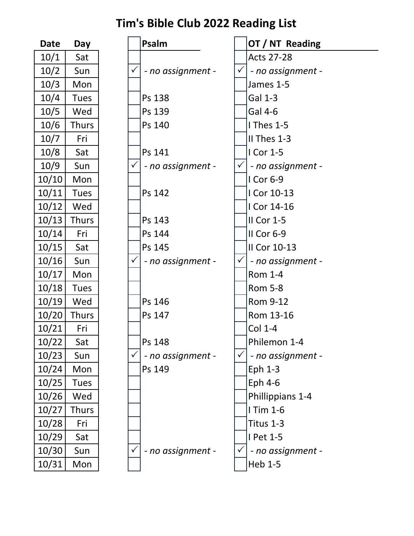| Date  | Day          |
|-------|--------------|
| 10/1  | Sat          |
| 10/2  | Sun          |
| 10/3  | Mon          |
| 10/4  | <b>Tues</b>  |
| 10/5  | Wed          |
| 10/6  | Thurs        |
| 10/7  | Fri          |
| 10/8  | Sat          |
| 10/9  | Sun          |
| 10/10 | Mon          |
| 10/11 | <b>Tues</b>  |
| 10/12 | Wed          |
| 10/13 | <b>Thurs</b> |
| 10/14 | Fri          |
| 10/15 | Sat          |
| 10/16 | Sun          |
| 10/17 | Mon          |
| 10/18 | <b>Tues</b>  |
| 10/19 | Wed          |
| 10/20 | Thurs        |
| 10/21 | Fri          |
| 10/22 | Sat          |
| 10/23 | Sun          |
| 10/24 | Mon          |
| 10/25 | Tues         |
| 10/26 | Wed          |
| 10/27 | Thurs        |
| 10/28 | Fri          |
| 10/29 | Sat          |
| 10/30 | Sun          |
| 10/31 | Mon          |